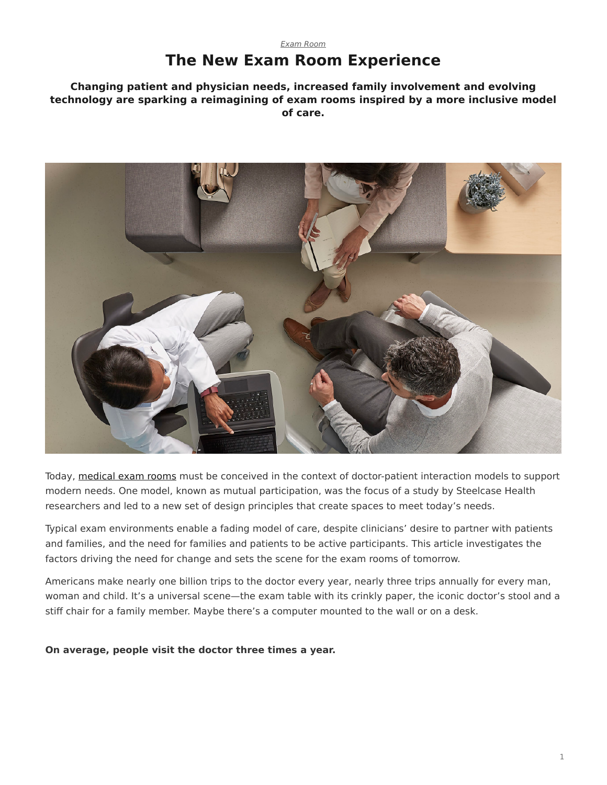### *[Exam Room](https://www.steelcase.com/research/topics/medical-exam-room/)* **The New Exam Room Experience**

#### <span id="page-0-0"></span>**Changing patient and physician needs, increased family involvement and evolving technology are sparking a reimagining of exam rooms inspired by a more inclusive model of care.**



Today, [medical exam rooms](https://www.steelcase.com/spaces-inspiration/health-spaces-exam/) must be conceived in the context of doctor-patient interaction models to support modern needs. One model, known as mutual participation, was the focus of a study by Steelcase Health researchers and led to a new set of design principles that create spaces to meet today's needs.

Typical exam environments enable a fading model of care, despite clinicians' desire to partner with patients and families, and the need for families and patients to be active participants. This article investigates the factors driving the need for change and sets the scene for the exam rooms of tomorrow.

Americans make nearly one billion trips to the doctor every year, nearly three trips annually for every man, woman and child. It's a universal scene—the exam table with its crinkly paper, the iconic doctor's stool and a stiff chair for a family member. Maybe there's a computer mounted to the wall or on a desk.

**On average, people visit the doctor three times a year.**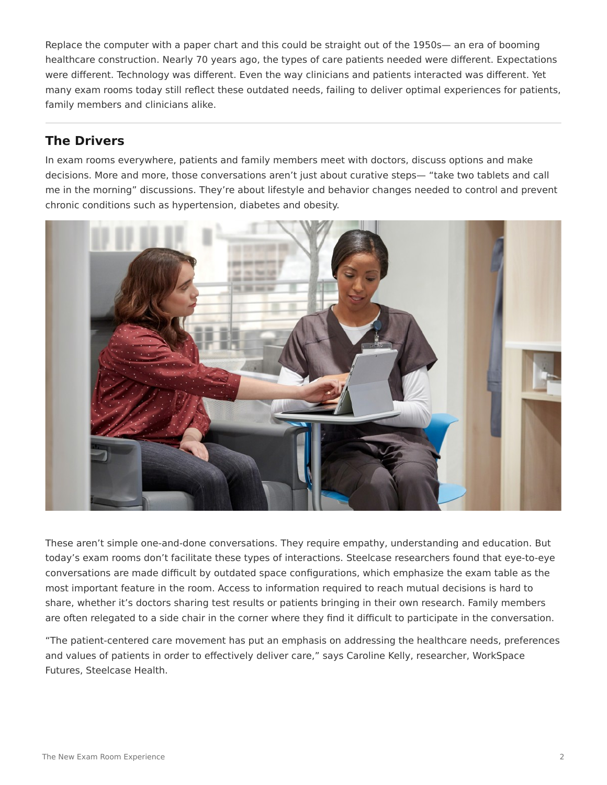Replace the computer with a paper chart and this could be straight out of the 1950s— an era of booming healthcare construction. Nearly 70 years ago, the types of care patients needed were different. Expectations were different. Technology was different. Even the way clinicians and patients interacted was different. Yet many exam rooms today still reflect these outdated needs, failing to deliver optimal experiences for patients, family members and clinicians alike.

## **The Drivers**

In exam rooms everywhere, patients and family members meet with doctors, discuss options and make decisions. More and more, those conversations aren't just about curative steps— "take two tablets and call me in the morning" discussions. They're about lifestyle and behavior changes needed to control and prevent chronic conditions such as hypertension, diabetes and obesity.



These aren't simple one-and-done conversations. They require empathy, understanding and education. But today's exam rooms don't facilitate these types of interactions. Steelcase researchers found that eye-to-eye conversations are made difficult by outdated space configurations, which emphasize the exam table as the most important feature in the room. Access to information required to reach mutual decisions is hard to share, whether it's doctors sharing test results or patients bringing in their own research. Family members are often relegated to a side chair in the corner where they find it difficult to participate in the conversation.

"The patient-centered care movement has put an emphasis on addressing the healthcare needs, preferences and values of patients in order to effectively deliver care," says Caroline Kelly, researcher, WorkSpace Futures, Steelcase Health.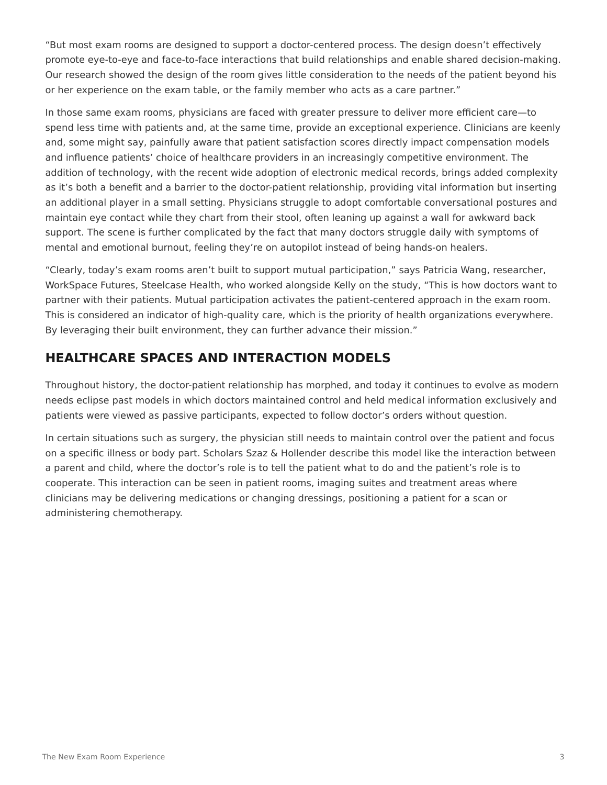"But most exam rooms are designed to support a doctor-centered process. The design doesn't effectively promote eye-to-eye and face-to-face interactions that build relationships and enable shared decision-making. Our research showed the design of the room gives little consideration to the needs of the patient beyond his or her experience on the exam table, or the family member who acts as a care partner."

In those same exam rooms, physicians are faced with greater pressure to deliver more efficient care—to spend less time with patients and, at the same time, provide an exceptional experience. Clinicians are keenly and, some might say, painfully aware that patient satisfaction scores directly impact compensation models and influence patients' choice of healthcare providers in an increasingly competitive environment. The addition of technology, with the recent wide adoption of electronic medical records, brings added complexity as it's both a benefit and a barrier to the doctor-patient relationship, providing vital information but inserting an additional player in a small setting. Physicians struggle to adopt comfortable conversational postures and maintain eye contact while they chart from their stool, often leaning up against a wall for awkward back support. The scene is further complicated by the fact that many doctors struggle daily with symptoms of mental and emotional burnout, feeling they're on autopilot instead of being hands-on healers.

"Clearly, today's exam rooms aren't built to support mutual participation," says Patricia Wang, researcher, WorkSpace Futures, Steelcase Health, who worked alongside Kelly on the study, "This is how doctors want to partner with their patients. Mutual participation activates the patient-centered approach in the exam room. This is considered an indicator of high-quality care, which is the priority of health organizations everywhere. By leveraging their built environment, they can further advance their mission."

# **HEALTHCARE SPACES AND INTERACTION MODELS**

Throughout history, the doctor-patient relationship has morphed, and today it continues to evolve as modern needs eclipse past models in which doctors maintained control and held medical information exclusively and patients were viewed as passive participants, expected to follow doctor's orders without question.

In certain situations such as surgery, the physician still needs to maintain control over the patient and focus on a specific illness or body part. Scholars Szaz & Hollender describe this model like the interaction between a parent and child, where the doctor's role is to tell the patient what to do and the patient's role is to cooperate. This interaction can be seen in patient rooms, imaging suites and treatment areas where clinicians may be delivering medications or changing dressings, positioning a patient for a scan or administering chemotherapy.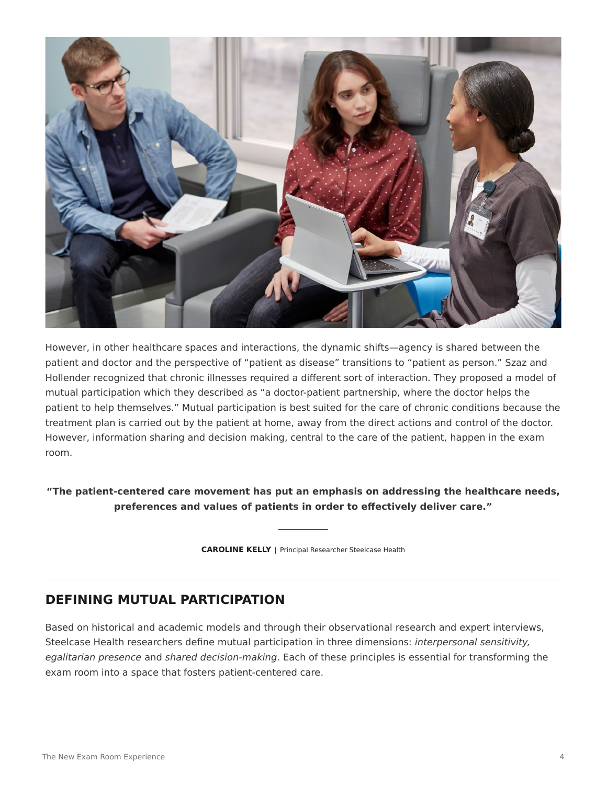

However, in other healthcare spaces and interactions, the dynamic shifts—agency is shared between the patient and doctor and the perspective of "patient as disease" transitions to "patient as person." Szaz and Hollender recognized that chronic illnesses required a different sort of interaction. They proposed a model of mutual participation which they described as "a doctor-patient partnership, where the doctor helps the patient to help themselves." Mutual participation is best suited for the care of chronic conditions because the treatment plan is carried out by the patient at home, away from the direct actions and control of the doctor. However, information sharing and decision making, central to the care of the patient, happen in the exam room.

**"The patient-centered care movement has put an emphasis on addressing the healthcare needs, preferences and values of patients in order to effectively deliver care."**

**CAROLINE KELLY** | Principal Researcher Steelcase Health

### **DEFINING MUTUAL PARTICIPATION**

Based on historical and academic models and through their observational research and expert interviews, Steelcase Health researchers define mutual participation in three dimensions: *interpersonal sensitivity, egalitarian presence* and *shared decision-making*. Each of these principles is essential for transforming the exam room into a space that fosters patient-centered care.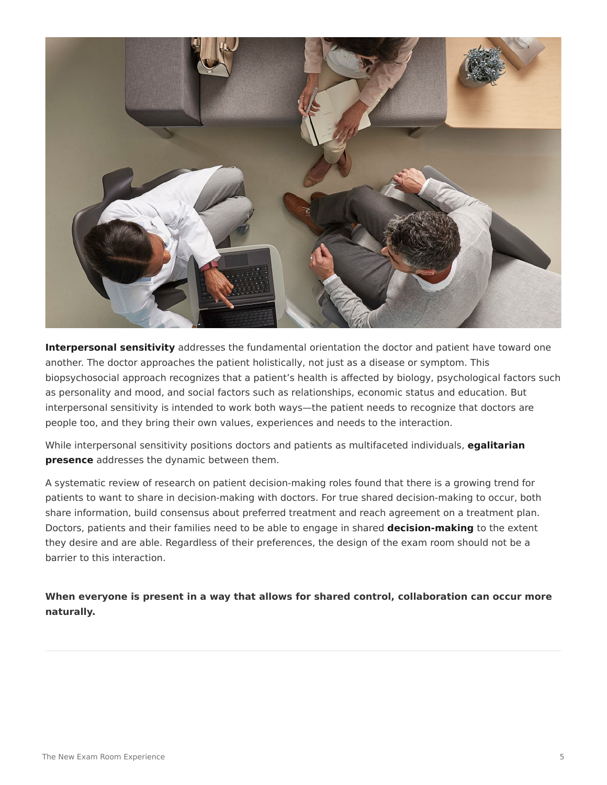

**Interpersonal sensitivity** addresses the fundamental orientation the doctor and patient have toward one another. The doctor approaches the patient holistically, not just as a disease or symptom. This biopsychosocial approach recognizes that a patient's health is affected by biology, psychological factors such as personality and mood, and social factors such as relationships, economic status and education. But interpersonal sensitivity is intended to work both ways—the patient needs to recognize that doctors are people too, and they bring their own values, experiences and needs to the interaction.

While interpersonal sensitivity positions doctors and patients as multifaceted individuals, **egalitarian presence** addresses the dynamic between them.

A systematic review of research on patient decision-making roles found that there is a growing trend for patients to want to share in decision-making with doctors. For true shared decision-making to occur, both share information, build consensus about preferred treatment and reach agreement on a treatment plan. Doctors, patients and their families need to be able to engage in shared **decision-making** to the extent they desire and are able. Regardless of their preferences, the design of the exam room should not be a barrier to this interaction.

**When everyone is present in a way that allows for shared control, collaboration can occur more naturally.**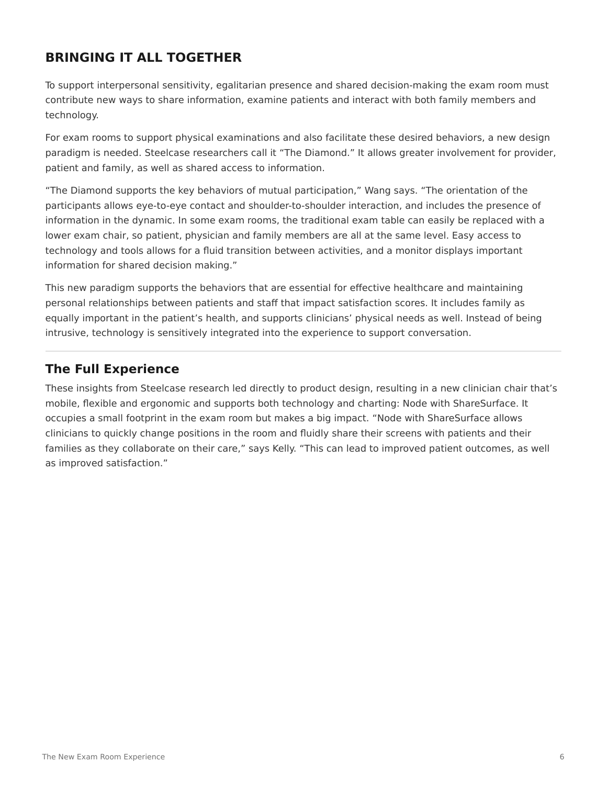# **BRINGING IT ALL TOGETHER**

To support interpersonal sensitivity, egalitarian presence and shared decision-making the exam room must contribute new ways to share information, examine patients and interact with both family members and technology.

For exam rooms to support physical examinations and also facilitate these desired behaviors, a new design paradigm is needed. Steelcase researchers call it "The Diamond." It allows greater involvement for provider, patient and family, as well as shared access to information.

"The Diamond supports the key behaviors of mutual participation," Wang says. "The orientation of the participants allows eye-to-eye contact and shoulder-to-shoulder interaction, and includes the presence of information in the dynamic. In some exam rooms, the traditional exam table can easily be replaced with a lower exam chair, so patient, physician and family members are all at the same level. Easy access to technology and tools allows for a fluid transition between activities, and a monitor displays important information for shared decision making."

This new paradigm supports the behaviors that are essential for effective healthcare and maintaining personal relationships between patients and staff that impact satisfaction scores. It includes family as equally important in the patient's health, and supports clinicians' physical needs as well. Instead of being intrusive, technology is sensitively integrated into the experience to support conversation.

## **The Full Experience**

These insights from Steelcase research led directly to product design, resulting in a new clinician chair that's mobile, flexible and ergonomic and supports both technology and charting: Node with ShareSurface. It occupies a small footprint in the exam room but makes a big impact. "Node with ShareSurface allows clinicians to quickly change positions in the room and fluidly share their screens with patients and their families as they collaborate on their care," says Kelly. "This can lead to improved patient outcomes, as well as improved satisfaction."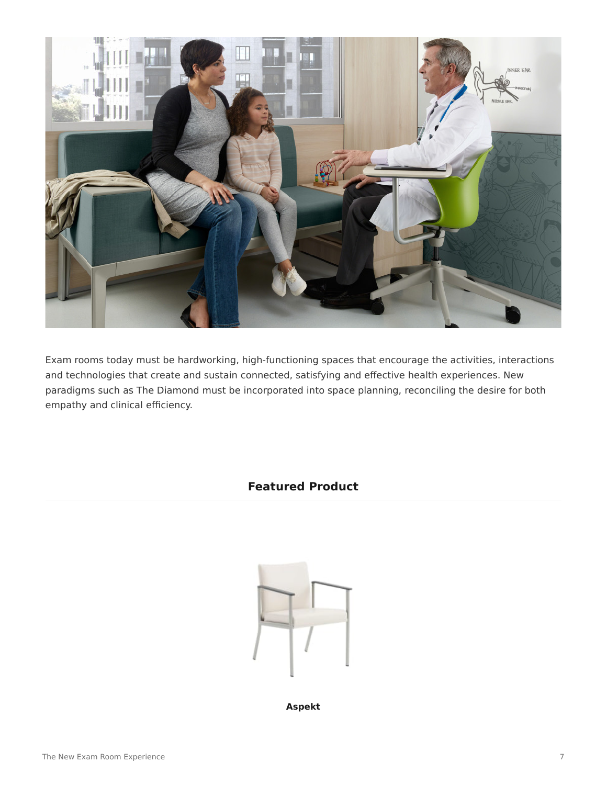

Exam rooms today must be hardworking, high-functioning spaces that encourage the activities, interactions and technologies that create and sustain connected, satisfying and effective health experiences. New paradigms such as The Diamond must be incorporated into space planning, reconciling the desire for both empathy and clinical efficiency.

#### **Featured Product**



**[Aspekt](https://www.steelcase.com/products/healthcare-seating/aspekt/)**